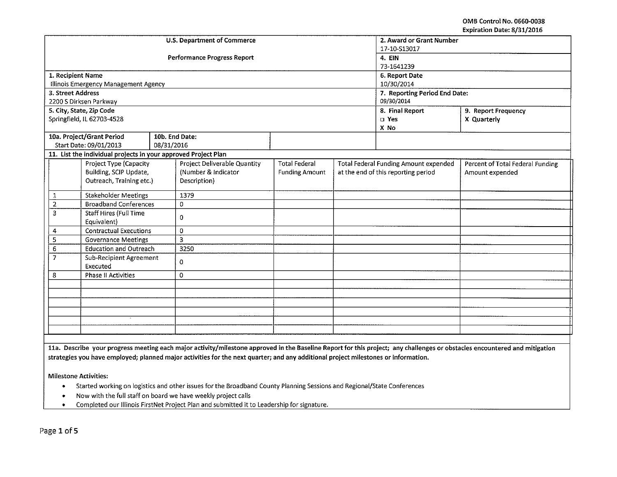OMS Control No. 0660-0038 Expiration Date: 8/31/2016

|                                           |                                                                |            |                                    |                               |  |                                              | LAPITALIUIT DALE. DJ JIJ LUIU    |  |
|-------------------------------------------|----------------------------------------------------------------|------------|------------------------------------|-------------------------------|--|----------------------------------------------|----------------------------------|--|
|                                           |                                                                |            | <b>U.S. Department of Commerce</b> | 2. Award or Grant Number      |  |                                              |                                  |  |
|                                           |                                                                |            |                                    | 17-10-S13017                  |  |                                              |                                  |  |
|                                           |                                                                |            | <b>Performance Progress Report</b> | 4. EIN                        |  |                                              |                                  |  |
|                                           |                                                                |            |                                    | 73-1641239                    |  |                                              |                                  |  |
| 1. Recipient Name                         |                                                                |            |                                    | 6. Report Date                |  |                                              |                                  |  |
|                                           | Illinois Emergency Management Agency                           |            |                                    |                               |  | 10/30/2014                                   |                                  |  |
| 3. Street Address                         |                                                                |            |                                    | 7. Reporting Period End Date: |  |                                              |                                  |  |
|                                           | 2200 S Dirksen Parkway                                         |            |                                    | 09/30/2014                    |  |                                              |                                  |  |
|                                           | 5. City, State, Zip Code                                       |            |                                    |                               |  | 8. Final Report                              | 9. Report Frequency              |  |
|                                           | Springfield, IL 62703-4528                                     |            |                                    |                               |  | <b>D</b> Yes                                 | X Quarterly                      |  |
|                                           |                                                                |            |                                    |                               |  | X No                                         |                                  |  |
|                                           | 10a. Project/Grant Period                                      |            | 10b. End Date:                     |                               |  |                                              |                                  |  |
|                                           | Start Date: 09/01/2013                                         | 08/31/2016 |                                    |                               |  |                                              |                                  |  |
|                                           | 11. List the individual projects in your approved Project Plan |            |                                    |                               |  |                                              |                                  |  |
|                                           | Project Type (Capacity                                         |            | Project Deliverable Quantity       | <b>Total Federal</b>          |  | <b>Total Federal Funding Amount expended</b> | Percent of Total Federal Funding |  |
|                                           | Building, SCIP Update,                                         |            | (Number & Indicator                | <b>Funding Amount</b>         |  | at the end of this reporting period          | Amount expended                  |  |
|                                           | Outreach, Training etc.)                                       |            | Description)                       |                               |  |                                              |                                  |  |
|                                           |                                                                |            |                                    |                               |  |                                              |                                  |  |
| 1                                         | <b>Stakeholder Meetings</b>                                    |            | 1379                               |                               |  |                                              |                                  |  |
| $\overline{2}$                            | <b>Broadband Conferences</b>                                   |            | 0                                  |                               |  |                                              |                                  |  |
| $\overline{3}$                            | Staff Hires (Full Time                                         |            | 0                                  |                               |  |                                              |                                  |  |
|                                           | Equivalent)                                                    |            |                                    |                               |  |                                              |                                  |  |
| 4                                         | <b>Contractual Executions</b>                                  |            | 0                                  |                               |  |                                              |                                  |  |
| 5                                         | <b>Governance Meetings</b>                                     |            | $\overline{\mathbf{3}}$            |                               |  |                                              |                                  |  |
| 6                                         | <b>Education and Outreach</b>                                  |            | 3250                               |                               |  |                                              |                                  |  |
| $\overline{7}$<br>Sub-Recipient Agreement |                                                                | $\Omega$   |                                    |                               |  |                                              |                                  |  |
|                                           | Executed                                                       |            |                                    |                               |  |                                              |                                  |  |
| 8                                         | Phase II Activities                                            |            | 0                                  |                               |  |                                              |                                  |  |
|                                           |                                                                |            |                                    |                               |  |                                              |                                  |  |
|                                           |                                                                |            |                                    |                               |  |                                              |                                  |  |
|                                           |                                                                |            |                                    |                               |  |                                              |                                  |  |
|                                           |                                                                |            |                                    |                               |  |                                              |                                  |  |
|                                           |                                                                |            |                                    |                               |  |                                              |                                  |  |
|                                           |                                                                |            |                                    |                               |  |                                              |                                  |  |
|                                           |                                                                |            |                                    |                               |  |                                              |                                  |  |

lla. Describe your progress meeting each major activity/milestone approved in the Baseline Report for this project; any challenges or obstacles encountered and mitigation strategies you have employed; planned major activities for the next quarter; and any additional project milestones or information.

Milestone Activities:

- Started working on logistics and other issues for the Broadband County Planning Sessions and Regional/State Conferences
- Now with the full staff on board we have weekly project calls<br>• Completed our Illinois FirstNet Project Plan and submitted it t
- Completed our Illinois FirstNet Project Plan and submitted it to Leadership for signature.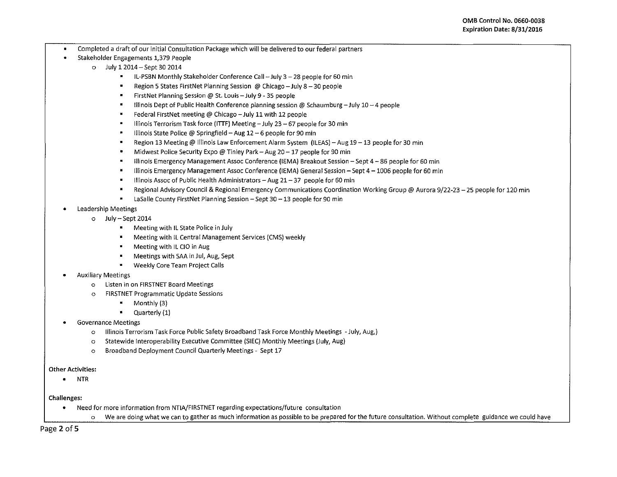- Completed a draft of our initial Consultation Package which will be delivered to our federal partners
- Stakeholder Engagements 1,379 People
	- o July 12014- Sept 30 2014
		- IL·PSBN Monthly Stakeholder Conference Call-July 3-28 people for 60 min
		- $\blacksquare$ Region 5 States FirstNet Planning Session @ Chicago - July 8 - 30 people
		- FirstNet Planning Session @ St. louis- July 9- 35 people
		- Illinois Dept of Public Health Conference planning session@ Schaumburg-July 10-4 people
		- Federal FirstNet meeting @ Chicago- July 11 with 12 people
		- Illinois Terrorism Task force (ITTF) Meeting July 23 67 people for 30 min  $\blacksquare$
		- Illinois State Police @ Springfield Aug 12 6 people for 90 min
		- Region 13 Meeting @ Illinois Law Enforcement Alarm System (ILEAS) Aug 19 13 people for 30 min
		- Midwest Police Security Expo @ Tinley Park Aug  $20 17$  people for 90 min
		- Illinois Emergency Management Assoc Conference (lEMA) Breakout Session- Sept 4-86 people for 60 min
		- Illinois Emergency Management Assoc Conference (IEMA) General Session Sept 4 1006 people for 60 min
		- Illinois Assoc of Public Health Administrators  $-$  Aug 21 $-37$  people for 60 min
		- Regional Advisory Council & Regional Emergency Communications Coordination Working Group@ Aurora 9/22-23-25 people for 120 min
		- $\blacksquare$ LaSalle County FirstNet Planning Session - Sept 30 - 13 people for 90 min
- Leadership Meetings
	- o July- Sept 2014
		- Meeting with IL State Police in July  $\blacksquare$
		- Meeting with IL Central Management Services (CMS) weekly
		- Meeting with IL CIO in Aug
		- Meetings with SAA in Jul, Aug, Sept
		- $\blacksquare$ Weekly Core Team Project Calls
- Auxiliary Meetings
	- o Listen in on FIRSTNET Board Meetings
	- o FIRSTNET Programmatic Update Sessions
		- $\bullet$  Monthly (3)
		- Quarterly (1)
- Governance Meetings
	- o Illinois Terrorism Task Force Public Safety Broadband Task Force Monthly Meetings -July, Aug,)
	- o Statewide lnteroperability Executive Committee (SIEC) Monthly Meetings (July, Aug)
	- o Broadband Deployment Council Quarterly Meetings- Sept 17
- Other Activities:
	- NTR

Challenges:

- Need for more information from NTIA/FIRSTNET regarding expectations/future consultation
	- o We are doing what we can to gather as much information as possible to be prepared for the future consultation. Without complete guidance we could have

Page 2 of 5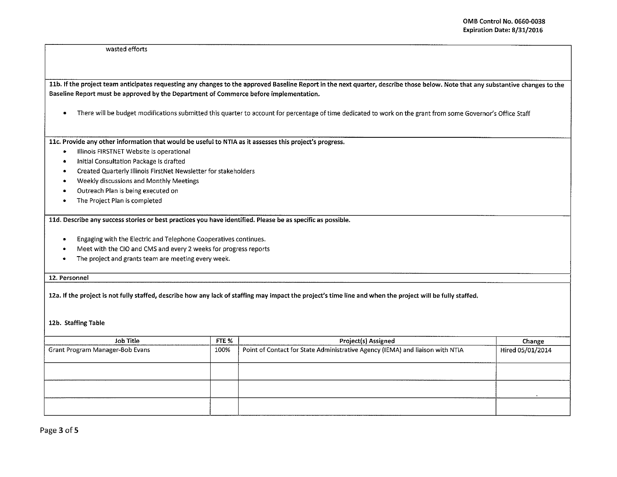wasted efforts

llb.lfthe project team anticipates requesting any changes to the approved Baseline Report in the next quarter, describe those below. Note that any substantive changes to the Baseline Report must be approved by the Department of Commerce before implementation.

• There will be budget modifications submitted this quarter to account for percentage of time dedicated to work on the grant from some Governor's Office Staff

llc. Provide any other information that would be useful to NTIA as it assesses this project's progress.

- Illinois FIRSTNET Website is operational
- Initial Consultation Package is drafted
- Created Quarterly Illinois FirstNet Newsletter for stakeholders
- Weekly discussions and Monthly Meetings
- Outreach Plan is being executed on
- The Project Plan is completed

lld. Describe any success stories or best practices you have identified. Please be as specific as possible.

- Engaging with the Electric and Telephone Cooperatives continues .
- Meet with the CIO and CMS and every 2 weeks for progress reports
- The project and grants team are meeting every week .

12. Personnel

12a. If the project is not fully staffed, describe how any lack of staffing may impact the project's time line and when the project will be fully staffed.

12b. Staffing Table

| Job Title                       |  | Project(s) Assigned                                                           | Change           |
|---------------------------------|--|-------------------------------------------------------------------------------|------------------|
| Grant Program Manager-Bob Evans |  | Point of Contact for State Administrative Agency (IEMA) and liaison with NTIA | Hired 05/01/2014 |
|                                 |  |                                                                               |                  |
|                                 |  |                                                                               |                  |
|                                 |  |                                                                               |                  |
|                                 |  |                                                                               |                  |
|                                 |  |                                                                               |                  |
|                                 |  |                                                                               |                  |
|                                 |  |                                                                               |                  |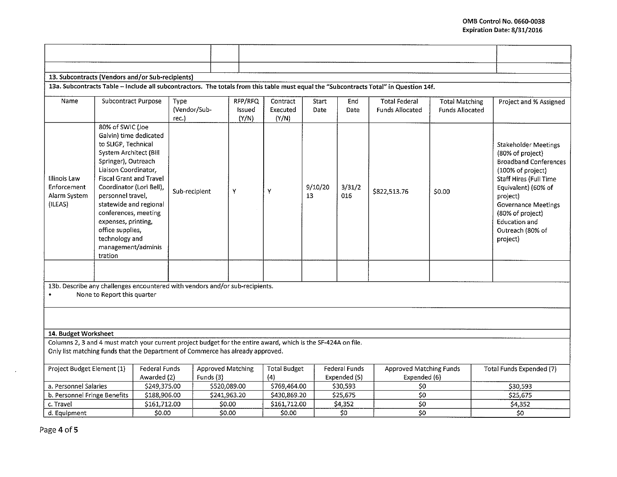| 13. Subcontracts (Vendors and/or Sub-recipients)                                                                                                                                                |                                                                                                                                                                                                                                                                                                                                                                               |              |                               |              |                            |                               |                      |                                |                                                |                                                 |                                                                                                                                                                                                                                                                      |
|-------------------------------------------------------------------------------------------------------------------------------------------------------------------------------------------------|-------------------------------------------------------------------------------------------------------------------------------------------------------------------------------------------------------------------------------------------------------------------------------------------------------------------------------------------------------------------------------|--------------|-------------------------------|--------------|----------------------------|-------------------------------|----------------------|--------------------------------|------------------------------------------------|-------------------------------------------------|----------------------------------------------------------------------------------------------------------------------------------------------------------------------------------------------------------------------------------------------------------------------|
| 13a. Subcontracts Table - Include all subcontractors. The totals from this table must equal the "Subcontracts Total" in Question 14f.                                                           |                                                                                                                                                                                                                                                                                                                                                                               |              |                               |              |                            |                               |                      |                                |                                                |                                                 |                                                                                                                                                                                                                                                                      |
| Name                                                                                                                                                                                            | <b>Subcontract Purpose</b>                                                                                                                                                                                                                                                                                                                                                    |              | Type<br>(Vendor/Sub-<br>rec.) |              | RFP/RFQ<br>Issued<br>(Y/N) | Contract<br>Executed<br>(Y/N) | Start<br><b>Date</b> | End<br>Date                    | <b>Total Federal</b><br><b>Funds Allocated</b> | <b>Total Matching</b><br><b>Funds Allocated</b> | Project and % Assigned                                                                                                                                                                                                                                               |
| Illinois Law<br>Enforcement<br>Alarm System<br>(ILEAS)                                                                                                                                          | 80% of SWIC (Joe<br>Galvin) time dedicated<br>to SLIGP, Technical<br>System Architect (Bill<br>Springer), Outreach<br>Liaison Coordinator,<br><b>Fiscal Grant and Travel</b><br>Coordinator (Lori Bell).<br>personnel travel,<br>statewide and regional<br>conferences, meeting<br>expenses, printing,<br>office supplies,<br>technology and<br>management/adminis<br>tration |              | Sub-recipient                 | Y            |                            | Y                             | 9/10/20<br>13        | 3/31/2<br>016                  | \$822,513.76                                   | \$0.00                                          | <b>Stakeholder Meetings</b><br>(80% of project)<br><b>Broadband Conferences</b><br>(100% of project)<br>Staff Hires (Full Time<br>Equivalent) (60% of<br>project)<br><b>Governance Meetings</b><br>(80% of project)<br>Education and<br>Outreach (80% of<br>project) |
|                                                                                                                                                                                                 |                                                                                                                                                                                                                                                                                                                                                                               |              |                               |              |                            |                               |                      |                                |                                                |                                                 |                                                                                                                                                                                                                                                                      |
| 13b. Describe any challenges encountered with vendors and/or sub-recipients.<br>None to Report this quarter                                                                                     |                                                                                                                                                                                                                                                                                                                                                                               |              |                               |              |                            |                               |                      |                                |                                                |                                                 |                                                                                                                                                                                                                                                                      |
|                                                                                                                                                                                                 |                                                                                                                                                                                                                                                                                                                                                                               |              |                               |              |                            |                               |                      |                                |                                                |                                                 |                                                                                                                                                                                                                                                                      |
| 14. Budget Worksheet                                                                                                                                                                            |                                                                                                                                                                                                                                                                                                                                                                               |              |                               |              |                            |                               |                      |                                |                                                |                                                 |                                                                                                                                                                                                                                                                      |
| Columns 2, 3 and 4 must match your current project budget for the entire award, which is the SF-424A on file.<br>Only list matching funds that the Department of Commerce has already approved. |                                                                                                                                                                                                                                                                                                                                                                               |              |                               |              |                            |                               |                      |                                |                                                |                                                 |                                                                                                                                                                                                                                                                      |
| Project Budget Element (1)<br>Federal Funds                                                                                                                                                     |                                                                                                                                                                                                                                                                                                                                                                               |              | Approved Matching             |              | <b>Total Budget</b>        |                               | Federal Funds        | <b>Approved Matching Funds</b> |                                                | Total Funds Expended (7)                        |                                                                                                                                                                                                                                                                      |
| Awarded (2)                                                                                                                                                                                     |                                                                                                                                                                                                                                                                                                                                                                               | Funds (3)    |                               | (4)          |                            | Expended (5)                  | Expended (6)         |                                |                                                |                                                 |                                                                                                                                                                                                                                                                      |
| a. Personnel Salaries                                                                                                                                                                           |                                                                                                                                                                                                                                                                                                                                                                               | \$249,375.00 |                               | \$520,089.00 |                            | \$769,464.00                  |                      | \$30,593                       | \$0                                            |                                                 | \$30,593<br>\$25,675                                                                                                                                                                                                                                                 |
| b. Personnel Fringe Benefits                                                                                                                                                                    |                                                                                                                                                                                                                                                                                                                                                                               | \$188,906.00 |                               | \$241,963.20 |                            | \$430,869.20                  |                      | \$25,675                       |                                                | 50 <sub>2</sub>                                 |                                                                                                                                                                                                                                                                      |
| c. Travel                                                                                                                                                                                       |                                                                                                                                                                                                                                                                                                                                                                               | \$161,712.00 |                               | \$0.00       |                            | \$161,712.00                  |                      | \$4,352                        | \$0                                            |                                                 | \$4,352                                                                                                                                                                                                                                                              |
| d. Equipment                                                                                                                                                                                    |                                                                                                                                                                                                                                                                                                                                                                               | \$0.00       |                               | \$0.00       |                            | \$0.00                        |                      | \$0                            | \$0                                            |                                                 | \$0                                                                                                                                                                                                                                                                  |